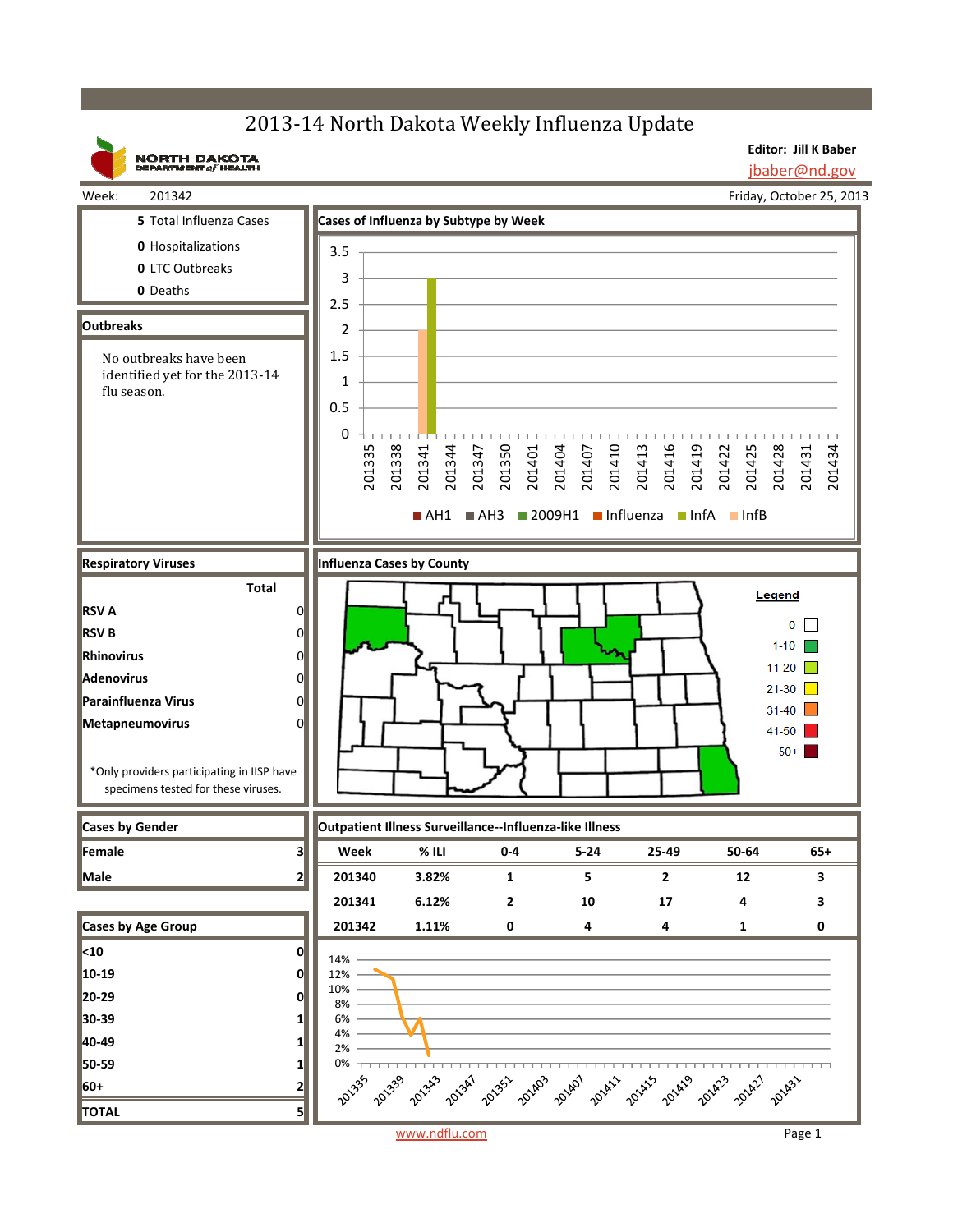## 2013-14 North Dakota Weekly Influenza Update